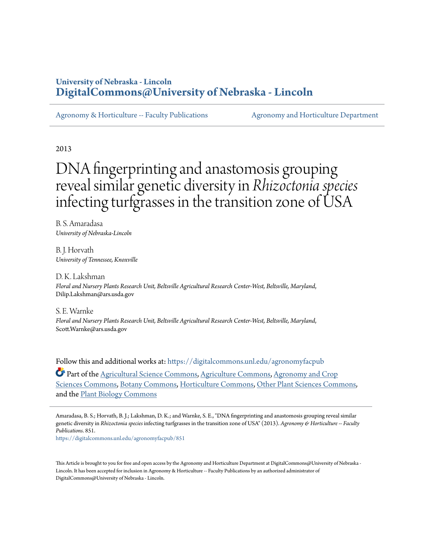# **University of Nebraska - Lincoln [DigitalCommons@University of Nebraska - Lincoln](https://digitalcommons.unl.edu?utm_source=digitalcommons.unl.edu%2Fagronomyfacpub%2F851&utm_medium=PDF&utm_campaign=PDFCoverPages)**

[Agronomy & Horticulture -- Faculty Publications](https://digitalcommons.unl.edu/agronomyfacpub?utm_source=digitalcommons.unl.edu%2Fagronomyfacpub%2F851&utm_medium=PDF&utm_campaign=PDFCoverPages) [Agronomy and Horticulture Department](https://digitalcommons.unl.edu/ag_agron?utm_source=digitalcommons.unl.edu%2Fagronomyfacpub%2F851&utm_medium=PDF&utm_campaign=PDFCoverPages)

2013

# DNA fingerprinting and anastomosis grouping reveal similar genetic diversity in *Rhizoctonia species* infecting turfgrasses in the transition zone of USA

B. S. Amaradasa *University of Nebraska-Lincoln*

B. J. Horvath *University of Tennessee, Knoxville*

D. K. Lakshman *Floral and Nursery Plants Research Unit, Beltsville Agricultural Research Center-West, Beltsville, Maryland*, Dilip.Lakshman@ars.usda.gov

S. E. Warnke *Floral and Nursery Plants Research Unit, Beltsville Agricultural Research Center-West, Beltsville, Maryland*, Scott.Warnke@ars.usda.gov

Follow this and additional works at: [https://digitalcommons.unl.edu/agronomyfacpub](https://digitalcommons.unl.edu/agronomyfacpub?utm_source=digitalcommons.unl.edu%2Fagronomyfacpub%2F851&utm_medium=PDF&utm_campaign=PDFCoverPages)

Part of the [Agricultural Science Commons](http://network.bepress.com/hgg/discipline/1063?utm_source=digitalcommons.unl.edu%2Fagronomyfacpub%2F851&utm_medium=PDF&utm_campaign=PDFCoverPages), [Agriculture Commons,](http://network.bepress.com/hgg/discipline/1076?utm_source=digitalcommons.unl.edu%2Fagronomyfacpub%2F851&utm_medium=PDF&utm_campaign=PDFCoverPages) [Agronomy and Crop](http://network.bepress.com/hgg/discipline/103?utm_source=digitalcommons.unl.edu%2Fagronomyfacpub%2F851&utm_medium=PDF&utm_campaign=PDFCoverPages) [Sciences Commons,](http://network.bepress.com/hgg/discipline/103?utm_source=digitalcommons.unl.edu%2Fagronomyfacpub%2F851&utm_medium=PDF&utm_campaign=PDFCoverPages) [Botany Commons](http://network.bepress.com/hgg/discipline/104?utm_source=digitalcommons.unl.edu%2Fagronomyfacpub%2F851&utm_medium=PDF&utm_campaign=PDFCoverPages), [Horticulture Commons](http://network.bepress.com/hgg/discipline/105?utm_source=digitalcommons.unl.edu%2Fagronomyfacpub%2F851&utm_medium=PDF&utm_campaign=PDFCoverPages), [Other Plant Sciences Commons,](http://network.bepress.com/hgg/discipline/109?utm_source=digitalcommons.unl.edu%2Fagronomyfacpub%2F851&utm_medium=PDF&utm_campaign=PDFCoverPages) and the [Plant Biology Commons](http://network.bepress.com/hgg/discipline/106?utm_source=digitalcommons.unl.edu%2Fagronomyfacpub%2F851&utm_medium=PDF&utm_campaign=PDFCoverPages)

Amaradasa, B. S.; Horvath, B. J.; Lakshman, D. K.; and Warnke, S. E., "DNA fingerprinting and anastomosis grouping reveal similar genetic diversity in *Rhizoctonia species* infecting turfgrasses in the transition zone of USA" (2013). *Agronomy & Horticulture -- Faculty Publications*. 851.

[https://digitalcommons.unl.edu/agronomyfacpub/851](https://digitalcommons.unl.edu/agronomyfacpub/851?utm_source=digitalcommons.unl.edu%2Fagronomyfacpub%2F851&utm_medium=PDF&utm_campaign=PDFCoverPages)

This Article is brought to you for free and open access by the Agronomy and Horticulture Department at DigitalCommons@University of Nebraska - Lincoln. It has been accepted for inclusion in Agronomy & Horticulture -- Faculty Publications by an authorized administrator of DigitalCommons@University of Nebraska - Lincoln.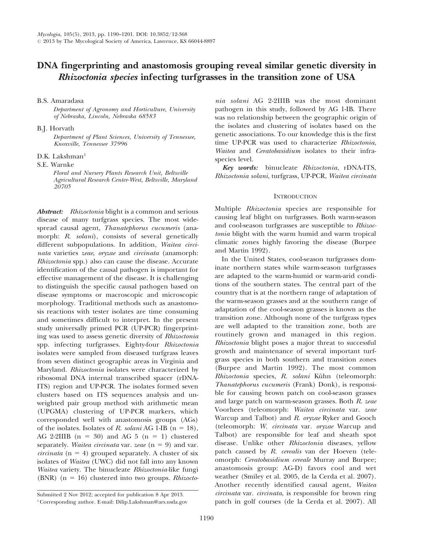## DNA fingerprinting and anastomosis grouping reveal similar genetic diversity in Rhizoctonia species infecting turfgrasses in the transition zone of USA

B.S. Amaradasa

Department of Agronomy and Horticulture, University of Nebraska, Lincoln, Nebraska 68583

B.J. Horvath

Department of Plant Sciences, University of Tennessee, Knoxville, Tennessee 37996

 $D.K.$  Lakshman<sup>1</sup>

S.E. Warnke

Floral and Nursery Plants Research Unit, Beltsville Agricultural Research Center-West, Beltsville, Maryland 20705

Abstract: Rhizoctonia blight is a common and serious disease of many turfgrass species. The most widespread causal agent, Thanatephorus cucumeris (anamorph: R. solani), consists of several genetically different subpopulations. In addition, Waitea circinata varieties zeae, oryzae and circinata (anamorph: Rhizoctonia spp.) also can cause the disease. Accurate identification of the causal pathogen is important for effective management of the disease. It is challenging to distinguish the specific causal pathogen based on disease symptoms or macroscopic and microscopic morphology. Traditional methods such as anastomosis reactions with tester isolates are time consuming and sometimes difficult to interpret. In the present study universally primed PCR (UP-PCR) fingerprinting was used to assess genetic diversity of Rhizoctonia spp. infecting turfgrasses. Eighty-four Rhizoctonia isolates were sampled from diseased turfgrass leaves from seven distinct geographic areas in Virginia and Maryland. Rhizoctonia isolates were characterized by ribosomal DNA internal transcribed spacer (rDNA-ITS) region and UP-PCR. The isolates formed seven clusters based on ITS sequences analysis and unweighted pair group method with arithmetic mean (UPGMA) clustering of UP-PCR markers, which corresponded well with anastomosis groups (AGs) of the isolates. Isolates of R. solani AG 1-IB ( $n = 18$ ), AG 2-2IIIB  $(n = 30)$  and AG 5  $(n = 1)$  clustered separately. Waitea circinata var. zeae  $(n = 9)$  and var. *circinata* ( $n = 4$ ) grouped separately. A cluster of six isolates of Waitea (UWC) did not fall into any known Waitea variety. The binucleate Rhizoctonia-like fungi (BNR)  $(n = 16)$  clustered into two groups. *Rhizocto*-

Submitted 2 Nov 2012; accepted for publication 8 Apr 2013. 1Corresponding author. E-mail: Dilip.Lakshman@ars.usda.gov nia solani AG 2-2IIIB was the most dominant pathogen in this study, followed by AG 1-IB. There was no relationship between the geographic origin of the isolates and clustering of isolates based on the genetic associations. To our knowledge this is the first time UP-PCR was used to characterize Rhizoctonia, Waitea and Ceratobasidium isolates to their infraspecies level.

Key words: binucleate Rhizoctonia, rDNA-ITS, Rhizoctonia solani, turfgrass, UP-PCR, Waitea circinata

## **INTRODUCTION**

Multiple Rhizoctonia species are responsible for causing leaf blight on turfgrasses. Both warm-season and cool-season turfgrasses are susceptible to Rhizoctonia blight with the warm humid and warm tropical climatic zones highly favoring the disease (Burpee and Martin 1992).

In the United States, cool-season turfgrasses dominate northern states while warm-season turfgrasses are adapted to the warm-humid or warm-arid conditions of the southern states. The central part of the country that is at the northern range of adaptation of the warm-season grasses and at the southern range of adaptation of the cool-season grasses is known as the transition zone. Although none of the turfgrass types are well adapted to the transition zone, both are routinely grown and managed in this region. Rhizoctonia blight poses a major threat to successful growth and maintenance of several important turfgrass species in both southern and transition zones (Burpee and Martin 1992). The most common Rhizoctonia species, R. solani Kühn (teleomorph: Thanatephorus cucumeris (Frank) Donk), is responsible for causing brown patch on cool-season grasses and large patch on warm-season grasses. Both R. zeae Voorhees (teleomorph: Waitea circinata var. zeae Warcup and Talbot) and R. oryzae Ryker and Gooch (teleomorph: W. circinata var. oryzae Warcup and Talbot) are responsible for leaf and sheath spot disease. Unlike other Rhizoctonia diseases, yellow patch caused by R. *cerealis* van der Hoeven (teleomorph: Ceratobasidium cereale Murray and Burpee; anastomosis group: AG-D) favors cool and wet weather (Smiley et al. 2005, de la Cerda et al. 2007). Another recently identified causal agent, Waitea circinata var. circinata, is responsible for brown ring patch in golf courses (de la Cerda et al. 2007). All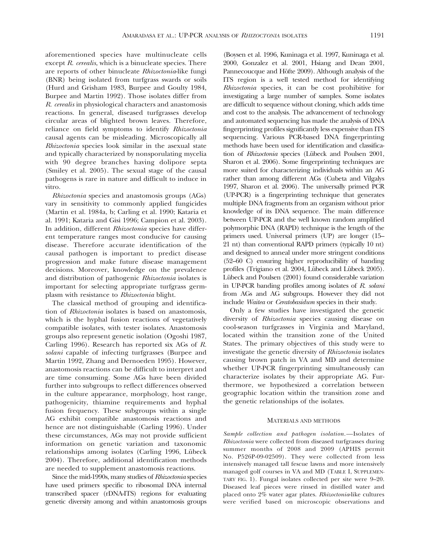aforementioned species have multinucleate cells except R. cerealis, which is a binucleate species. There are reports of other binucleate Rhizoctonia-like fungi (BNR) being isolated from turfgrass swards or soils (Hurd and Grisham 1983, Burpee and Goulty 1984, Burpee and Martin 1992). Those isolates differ from R. cerealis in physiological characters and anastomosis reactions. In general, diseased turfgrasses develop circular areas of blighted brown leaves. Therefore, reliance on field symptoms to identify Rhizoctonia causal agents can be misleading. Microscopically all Rhizoctonia species look similar in the asexual state and typically characterized by nonsporulating mycelia with 90 degree branches having dolipore septa (Smiley et al. 2005). The sexual stage of the causal pathogens is rare in nature and difficult to induce in vitro.

Rhizoctonia species and anastomosis groups (AGs) vary in sensitivity to commonly applied fungicides (Martin et al. 1984a, b; Carling et al. 1990; Kataria et al. 1991; Kataria and Gisi 1996; Campion et al. 2003). In addition, different *Rhizoctonia* species have different temperature ranges most conducive for causing disease. Therefore accurate identification of the causal pathogen is important to predict disease progression and make future disease management decisions. Moreover, knowledge on the prevalence and distribution of pathogenic Rhizoctonia isolates is important for selecting appropriate turfgrass germplasm with resistance to Rhizoctonia blight.

The classical method of grouping and identification of Rhizoctonia isolates is based on anastomosis, which is the hyphal fusion reactions of vegetatively compatible isolates, with tester isolates. Anastomosis groups also represent genetic isolation (Ogoshi 1987, Carling 1996). Research has reported six AGs of R. solani capable of infecting turfgrasses (Burpee and Martin 1992, Zhang and Dernoeden 1995). However, anastomosis reactions can be difficult to interpret and are time consuming. Some AGs have been divided further into subgroups to reflect differences observed in the culture appearance, morphology, host range, pathogenicity, thiamine requirements and hyphal fusion frequency. These subgroups within a single AG exhibit compatible anastomosis reactions and hence are not distinguishable (Carling 1996). Under these circumstances, AGs may not provide sufficient information on genetic variation and taxonomic relationships among isolates (Carling 1996, Lübeck 2004). Therefore, additional identification methods are needed to supplement anastomosis reactions.

Since the mid-1990s, many studies of Rhizoctonia species have used primers specific to ribosomal DNA internal transcribed spacer (rDNA-ITS) regions for evaluating genetic diversity among and within anastomosis groups

(Boysen et al. 1996, Kuninaga et al. 1997, Kuninaga et al. 2000, Gonzalez et al. 2001, Hsiang and Dean 2001, Pannecoucque and Höfte 2009). Although analysis of the ITS region is a well tested method for identifying Rhizoctonia species, it can be cost prohibitive for investigating a large number of samples. Some isolates are difficult to sequence without cloning, which adds time and cost to the analysis. The advancement of technology and automated sequencing has made the analysis of DNA fingerprinting profiles significantly less expensive than ITS sequencing. Various PCR-based DNA fingerprinting methods have been used for identification and classification of *Rhizoctonia* species (Lübeck and Poulsen 2001, Sharon et al. 2006). Some fingerprinting techniques are more suited for characterizing individuals within an AG rather than among different AGs (Cubeta and Vilgalys 1997, Sharon et al. 2006). The universally primed PCR (UP-PCR) is a fingerprinting technique that generates multiple DNA fragments from an organism without prior knowledge of its DNA sequence. The main difference between UP-PCR and the well known random amplified polymorphic DNA (RAPD) technique is the length of the primers used. Universal primers (UP) are longer (15– 21 nt) than conventional RAPD primers (typically 10 nt) and designed to anneal under more stringent conditions (52–60 C) ensuring higher reproducibility of banding profiles (Trigiano et al. 2004, Lübeck and Lübeck 2005). Lübeck and Poulsen (2001) found considerable variation in UP-PCR banding profiles among isolates of R. solani from AGs and AG subgroups. However they did not include Waitea or Ceratobasidum species in their study.

Only a few studies have investigated the genetic diversity of Rhizoctonia species causing disease on cool-season turfgrasses in Virginia and Maryland, located within the transition zone of the United States. The primary objectives of this study were to investigate the genetic diversity of Rhizoctonia isolates causing brown patch in VA and MD and determine whether UP-PCR fingerprinting simultaneously can characterize isolates by their appropriate AG. Furthermore, we hypothesized a correlation between geographic location within the transition zone and the genetic relationships of the isolates.

#### MATERIALS AND METHODS

Sample collection and pathogen isolation.—Isolates of Rhizoctonia were collected from diseased turfgrasses during summer months of 2008 and 2009 (APHIS permit No. P526P-09-02509). They were collected from less intensively managed tall fescue lawns and more intensively managed golf courses in VA and MD (TABLE I, SUPPLEMEN-TARY FIG. 1). Fungal isolates collected per site were 9–20. Diseased leaf pieces were rinsed in distilled water and placed onto 2% water agar plates. Rhizoctonia-like cultures were verified based on microscopic observations and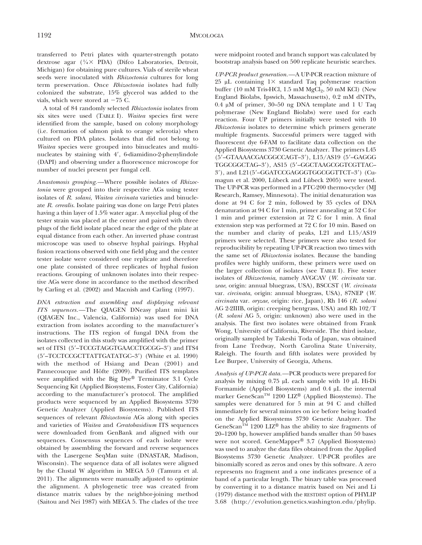transferred to Petri plates with quarter-strength potato dextrose agar ( $\frac{1}{4} \times$  PDA) (Difco Laboratories, Detroit, Michigan) for obtaining pure cultures. Vials of sterile wheat seeds were inoculated with Rhizoctonia cultures for long term preservation. Once Rhizoctonia isolates had fully colonized the substrate, 15% glycerol was added to the vials, which were stored at  $-75$  C.

A total of 84 randomly selected Rhizoctonia isolates from six sites were used (TABLE I). Waitea species first were identified from the sample, based on colony morphology (i.e. formation of salmon pink to orange sclerotia) when cultured on PDA plates. Isolates that did not belong to Waitea species were grouped into binucleates and multinucleates by staining with 4', 6-diamidino-2-phenylindole (DAPI) and observing under a fluorescence microscope for number of nuclei present per fungal cell.

Anastomosis grouping.—Where possible isolates of Rhizoctonia were grouped into their respective AGs using tester isolates of R. solani, Waitea circinata varieties and binucleate R. cerealis. Isolate pairing was done on large Petri plates having a thin layer of 1.5% water agar. A mycelial plug of the tester strain was placed at the center and paired with three plugs of the field isolate placed near the edge of the plate at equal distance from each other. An inverted phase contrast microscope was used to observe hyphal pairings. Hyphal fusion reactions observed with one field plug and the center tester isolate were considered one replicate and therefore one plate consisted of three replicates of hyphal fusion reactions. Grouping of unknown isolates into their respective AGs were done in accordance to the method described by Carling et al. (2002) and Macnish and Carling (1997).

DNA extraction and assembling and displaying relevant ITS sequences.—The QIAGEN DNeasy plant mini kit (QIAGEN Inc., Valencia, California) was used for DNA extraction from isolates according to the manufacturer's instructions. The ITS region of fungal DNA from the isolates collected in this study was amplified with the primer set of ITS1 (5'-TCCGTAGGTGAACCTGCGG-3') and ITS4 (5'-TCCTCCGCTTATTGATATGC-3') (White et al. 1990) with the method of Hsiang and Dean (2001) and Pannecoucque and Höfte (2009). Purified ITS templates were amplified with the Big Dye® Terminator  $3.1$  Cycle Sequencing Kit (Applied Biosystems, Foster City, California) according to the manufacturer's protocol. The amplified products were sequenced by an Applied Biosystems 3730 Genetic Analyzer (Applied Biosystems). Published ITS sequences of relevant Rhizoctonia AGs along with species and varieties of Waitea and Ceratobasidium ITS sequences were downloaded from GenBank and aligned with our sequences. Consensus sequences of each isolate were obtained by assembling the forward and reverse sequences with the Lasergene SeqMan suite (DNASTAR, Madison, Wisconsin). The sequence data of all isolates were aligned by the Clustal W algorithm in MEGA 5.0 (Tamura et al. 2011). The alignments were manually adjusted to optimize the alignment. A phylogenetic tree was created from distance matrix values by the neighbor-joining method (Saitou and Nei 1987) with MEGA 5. The clades of the tree

were midpoint rooted and branch support was calculated by bootstrap analysis based on 500 replicate heuristic searches.

UP-PCR product generation.—A UP-PCR reaction mixture of  $25 \mu L$  containing  $1 \times$  standard Taq polymerase reaction buffer (10 mM Tris-HCl,  $1.5$  mM  $MgCl<sub>2</sub>$ ,  $50$  mM KCl) (New England Biolabs, Ipswich, Massachusetts), 0.2 mM dNTPs, 0.4  $\mu$ M of primer, 30–50 ng DNA template and 1 U Taq polymerase (New England Biolabs) were used for each reaction. Four UP primers initially were tested with 10 Rhizoctonia isolates to determine which primers generate multiple fragments. Successful primers were tagged with fluorescent dye 6-FAM to facilitate data collection on the Applied Biosystems 3730 Genetic Analyzer. The primers L45 (5'-GTAAAACGACGGCCAGT-3'), L15/AS19 (5'-GAGGG TGGCGGCTAG-3'), AS15 (5'-GGCTAAGCGGTCGTTAC-3'), and L21(5'-GGATCCGAGGGTGGCGGTTCT-3') (Cumagun et al. 2000, Lübeck and Lübeck 2005) were tested. The UP-PCR was performed in a PTC-200 thermo-cycler (MJ Research, Ramsey, Minnesota). The initial denaturation was done at 94 C for 2 min, followed by 35 cycles of DNA denaturation at 94 C for 1 min, primer annealing at 52 C for 1 min and primer extension at 72 C for 1 min. A final extension step was performed at 72 C for 10 min. Based on the number and clarity of peaks, L21 and L15/AS19 primers were selected. These primers were also tested for reproducibility by repeating UP-PCR reaction two times with the same set of Rhizoctonia isolates. Because the banding profiles were highly uniform, these primers were used on the larger collection of isolates (see TABLE I). Five tester isolates of Rhizoctonia, namely AVGCAV (W. circinata var. zeae, origin: annual bluegrass, USA), BSCCST (W. circinata var. circinata, origin: annual bluegrass, USA), 87NEP (W. circinata var. oryzae, origin: rice, Japan), Rh 146 (R. solani AG 2-2IIIB, origin: creeping bentgrass, USA) and Rh 102/T (R. solani AG 5, origin: unknown) also were used in the analysis. The first two isolates were obtained from Frank Wong, University of California, Riverside. The third isolate, originally sampled by Takeshi Toda of Japan, was obtained from Lane Tredway, North Carolina State University, Raleigh. The fourth and fifth isolates were provided by Lee Burpee, University of Georgia, Athens.

Analysis of UP-PCR data.—PCR products were prepared for analysis by mixing  $0.75 \mu L$  each sample with 10  $\mu L$  Hi-Di Formamide (Applied Biosystems) and  $0.4 \mu L$  the internal marker GeneScan<sup>TM</sup> 1200 LIZ® (Applied Biosystems). The samples were denatured for 5 min at 94 C and chilled immediately for several minutes on ice before being loaded on the Applied Biosystems 3730 Genetic Analyzer. The GeneScan<sup>TM</sup> 1200 LIZ<sup>®</sup> has the ability to size fragments of 20–1200 bp, however amplified bands smaller than 50 bases were not scored. GeneMapper® 3.7 (Applied Biosystems) was used to analyze the data files obtained from the Applied Biosystems 3730 Genetic Analyzer. UP-PCR profiles are binomially scored as zeros and ones by this software. A zero represents no fragment and a one indicates presence of a band of a particular length. The binary table was processed by converting it to a distance matrix based on Nei and Li (1979) distance method with the RESTDIST option of PHYLIP 3.68 (http://evolution.genetics.washington.edu/phylip.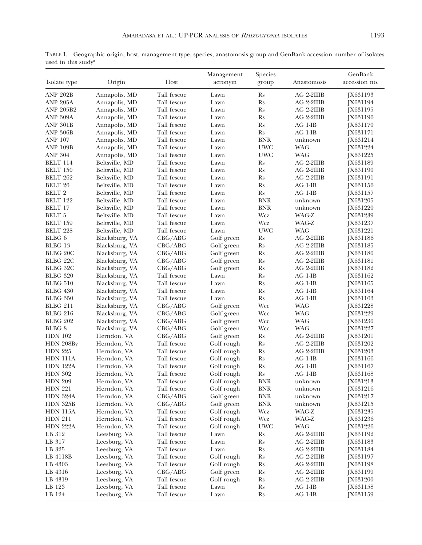TABLE I. Geographic origin, host, management type, species, anastomosis group and GenBank accession number of isolates used in this study<sup>a</sup>

|                   |                |             | Management | Species              |             | GenBank         |
|-------------------|----------------|-------------|------------|----------------------|-------------|-----------------|
| Isolate type      | Origin         | Host        | acronym    | group                | Anastomosis | accession no.   |
|                   |                |             |            |                      |             |                 |
| <b>ANP 202B</b>   | Annapolis, MD  | Tall fescue | Lawn       | <b>Rs</b>            | AG 2-2IIIB  | JX631193        |
| <b>ANP 205A</b>   | Annapolis, MD  | Tall fescue | Lawn       | <b>Rs</b>            | AG 2-2IIIB  | JX631194        |
| <b>ANP 205B2</b>  | Annapolis, MD  | Tall fescue | Lawn       | <b>Rs</b>            | AG 2-2IIIB  | JX631195        |
| ANP 309A          | Annapolis, MD  | Tall fescue | Lawn       | <b>Rs</b>            | AG 2-2IIIB  | JX631196        |
| <b>ANP 301B</b>   | Annapolis, MD  | Tall fescue | Lawn       | <b>Rs</b>            | AG 1-IB     | <b>IX631170</b> |
| <b>ANP 306B</b>   | Annapolis, MD  | Tall fescue | Lawn       | $\mathbf{R}s$        | AG 1-IB     | JX631171        |
| <b>ANP 107</b>    | Annapolis, MD  | Tall fescue | Lawn       | <b>BNR</b>           | unknown     | JX631214        |
| <b>ANP 109B</b>   | Annapolis, MD  | Tall fescue | Lawn       | <b>UWC</b>           | <b>WAG</b>  | JX631224        |
| <b>ANP 304</b>    | Annapolis, MD  | Tall fescue | Lawn       | <b>UWC</b>           | <b>WAG</b>  | JX631225        |
| BELT 114          | Beltsville, MD | Tall fescue | Lawn       | <b>Rs</b>            | AG 2-2IIIB  | JX631189        |
| <b>BELT 150</b>   | Beltsville, MD | Tall fescue | Lawn       | <b>Rs</b>            | AG 2-2IIIB  | JX631190        |
| BELT 262          | Beltsville, MD | Tall fescue | Lawn       | <b>Rs</b>            | AG 2-2IIIB  | JX631191        |
| <b>BELT 26</b>    | Beltsville, MD | Tall fescue | Lawn       | <b>Rs</b>            | $AG$ 1-IB   | JX631156        |
| <b>BELT 2</b>     | Beltsville, MD | Tall fescue | Lawn       | <b>Rs</b>            | $AG$ 1-IB   | JX631157        |
| <b>BELT 122</b>   | Beltsville, MD | Tall fescue | Lawn       | <b>BNR</b>           | unknown     | JX631205        |
| <b>BELT 17</b>    | Beltsville, MD | Tall fescue | Lawn       | <b>BNR</b>           | unknown     | JX631220        |
| <b>BELT 5</b>     | Beltsville, MD | Tall fescue | Lawn       | Wcz                  | WAG-Z       | JX631239        |
| <b>BELT 159</b>   | Beltsville, MD | Tall fescue | Lawn       | Wcz                  | WAG-Z       | JX631237        |
| BELT 228          | Beltsville, MD | Tall fescue | Lawn       | <b>UWC</b>           | <b>WAG</b>  | JX631221        |
| <b>BLBG6</b>      | Blacksburg, VA | CBG/ABG     | Golf green | <b>Rs</b>            | AG 2-2IIIB  | JX631186        |
| BLBG 13           | Blacksburg, VA | CBG/ABG     | Golf green | <b>Rs</b>            | AG 2-2IIIB  | JX631185        |
| BLBG 20C          | Blacksburg, VA | CBG/ABG     | Golf green | <b>Rs</b>            | AG 2-2IIIB  | JX631180        |
| <b>BLBG 22C</b>   | Blacksburg, VA | CBG/ABG     | Golf green | <b>Rs</b>            | AG 2-2IIIB  | JX631181        |
| BLBG 32C          | Blacksburg, VA | CBG/ABG     | Golf green | <b>Rs</b>            | AG 2-2IIIB  | JX631182        |
| <b>BLBG</b> 320   | Blacksburg, VA | Tall fescue | Lawn       | <b>Rs</b>            | AG 1-IB     | JX631162        |
| <b>BLBG</b> 510   | Blacksburg, VA | Tall fescue | Lawn       | <b>Rs</b>            | AG 1-IB     | JX631165        |
| <b>BLBG</b> 430   | Blacksburg, VA | Tall fescue | Lawn       | <b>Rs</b>            | AG 1-IB     | JX631164        |
| <b>BLBG</b> 350   | Blacksburg, VA | Tall fescue | Lawn       | <b>Rs</b>            | $AG$ 1-IB   | <b>IX631163</b> |
| <b>BLBG 211</b>   | Blacksburg, VA | CBG/ABG     | Golf green | Wcc                  | <b>WAG</b>  | JX631228        |
| <b>BLBG 216</b>   | Blacksburg, VA | CBG/ABG     | Golf green | Wcc                  | <b>WAG</b>  | JX631229        |
| <b>BLBG 202</b>   | Blacksburg, VA | CBG/ABG     | Golf green | Wcc                  | <b>WAG</b>  | JX631230        |
| BLBG <sub>8</sub> | Blacksburg, VA | CBG/ABG     | Golf green | Wcc                  | <b>WAG</b>  | JX631227        |
| <b>HDN 102</b>    | Herndon, VA    | CBG/ABG     | Golf green | <b>Rs</b>            | AG 2-2IIIB  | JX631201        |
| HDN 208By         | Herndon, VA    | Tall fescue | Golf rough | <b>Rs</b>            | AG 2-2IIIB  | JX631202        |
| <b>HDN 225</b>    | Herndon, VA    | Tall fescue | Golf rough | <b>Rs</b>            | AG 2-2IIIB  | JX631203        |
| <b>HDN</b> 111A   | Herndon, VA    | Tall fescue | Golf rough | <b>Rs</b>            | $AG$ 1-IB   | <b>IX631166</b> |
| <b>HDN 122A</b>   | Herndon, VA    | Tall fescue | Golf rough | <b>Rs</b>            | AG 1-IB     | JX631167        |
| <b>HDN 302</b>    | Herndon, VA    | Tall fescue | Golf rough | <b>Rs</b>            | AG 1-IB     | JX631168        |
| <b>HDN 209</b>    | Herndon, VA    | Tall fescue | Golf rough | <b>BNR</b>           | unknown     | JX631213        |
| <b>HDN 221</b>    | Herndon, VA    | Tall fescue | Golf rough | $\operatorname{BNR}$ | unknown     | JX631216        |
| <b>HDN 324A</b>   | Herndon, VA    | CBG/ABC     | Golf green | $\operatorname{BNR}$ | unknown     | JX631217        |
| <b>HDN 325B</b>   | Herndon, VA    | CBG/ABG     | Golf green | <b>BNR</b>           | unknown     | JX631215        |
|                   | Herndon, VA    | Tall fescue | Golf rough | Wcz                  | WAG-Z       | JX631235        |
| <b>HDN 115A</b>   |                | Tall fescue | Golf rough | Wcz                  | WAG-Z       |                 |
| <b>HDN 211</b>    | Herndon, VA    |             |            |                      |             | JX631236        |
| <b>HDN 222A</b>   | Herndon, VA    | Tall fescue | Golf rough | <b>UWC</b>           | <b>WAG</b>  | JX631226        |
| LB 312            | Leesburg, VA   | Tall fescue | Lawn       | <b>Rs</b>            | AG 2-2IIIB  | JX631192        |
| LB 317            | Leesburg, VA   | Tall fescue | Lawn       | Rs                   | AG 2-2IIIB  | JX631183        |
| LB 325            | Leesburg, VA   | Tall fescue | Lawn       | <b>Rs</b>            | AG 2-2IIIB  | JX631184        |
| LB 4118B          | Leesburg, VA   | Tall fescue | Golf rough | Rs                   | AG 2-2IIIB  | JX631197        |
| LB 4303           | Leesburg, VA   | Tall fescue | Golf rough | <b>Rs</b>            | AG 2-2IIIB  | JX631198        |
| LB 4316           | Leesburg, VA   | CBG/ABG     | Golf green | <b>Rs</b>            | AG 2-2IIIB  | JX631199        |
| LB 4319           | Leesburg, VA   | Tall fescue | Golf rough | Rs                   | AG 2-2IIIB  | JX631200        |
| LB 123            | Leesburg, VA   | Tall fescue | Lawn       | Rs                   | AG 1-IB     | JX631158        |
| LB 124            | Leesburg, VA   | Tall fescue | Lawn       | $\mathbf{R}s$        | AG 1-IB     | JX631159        |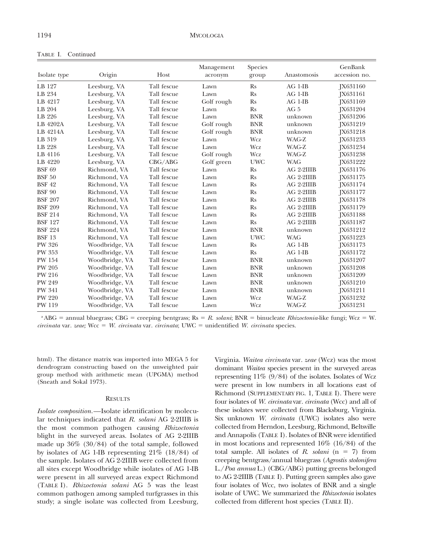| Isolate type   | Origin         | Host        | Management<br>acronym | <b>Species</b><br>group | Anastomosis | GenBank<br>accession no. |
|----------------|----------------|-------------|-----------------------|-------------------------|-------------|--------------------------|
| LB 127         | Leesburg, VA   | Tall fescue | Lawn                  | $\mathbf{R}$ s          | $AG$ 1-IB   | <b>IX631160</b>          |
| LB 234         | Leesburg, VA   | Tall fescue | Lawn                  | <b>Rs</b>               | $AG$ 1-IB   | [X631161]                |
| LB 4217        | Leesburg, VA   | Tall fescue | Golf rough            | Rs                      | $AG$ 1-IB   | JX631169                 |
| LB 204         | Leesburg, VA   | Tall fescue | Lawn                  | <b>Rs</b>               | AG 5        | IX631204                 |
| LB 226         | Leesburg, VA   | Tall fescue | Lawn                  | <b>BNR</b>              | unknown     | JX631206                 |
| LB 4202A       | Leesburg, VA   | Tall fescue | Golf rough            | <b>BNR</b>              | unknown     | [X631219]                |
| LB 4214A       | Leesburg, VA   | Tall fescue | Golf rough            | <b>BNR</b>              | unknown     | [X631218]                |
| LB 319         | Leesburg, VA   | Tall fescue | Lawn                  | Wcz                     | WAG-Z       | IX631233                 |
| LB 228         | Leesburg, VA   | Tall fescue | Lawn                  | Wcz                     | WAG-Z       | JX631234                 |
| LB 4116        | Leesburg, VA   | Tall fescue | Golf rough            | Wcz                     | WAG-Z       | [X631238]                |
| LB 4220        | Leesburg, VA   | CBG/ABG     | Golf green            | <b>UWC</b>              | <b>WAG</b>  | JX631222                 |
| <b>BSF 69</b>  | Richmond, VA   | Tall fescue | Lawn                  | $\mathbf{R}$ s          | AG 2-2IIIB  | JX631176                 |
| <b>BSF 50</b>  | Richmond, VA   | Tall fescue | Lawn                  | Rs                      | AG 2-2IIIB  | [X631175]                |
| <b>BSF 42</b>  | Richmond, VA   | Tall fescue | Lawn                  | Rs                      | AG 2-2IIIB  | [X631174]                |
| <b>BSF 90</b>  | Richmond, VA   | Tall fescue | Lawn                  | $\mathbf{R}$ s          | AG 2-2IIIB  | JX631177                 |
| <b>BSF 207</b> | Richmond, VA   | Tall fescue | Lawn                  | <b>Rs</b>               | AG 2-2IIIB  | [X631178]                |
| <b>BSF 209</b> | Richmond, VA   | Tall fescue | Lawn                  | Rs                      | AG 2-2IIIB  | JX631179                 |
| <b>BSF 214</b> | Richmond, VA   | Tall fescue | Lawn                  | <b>Rs</b>               | AG 2-2IIIB  | JX631188                 |
| <b>BSF 127</b> | Richmond, VA   | Tall fescue | Lawn                  | <b>Rs</b>               | AG 2-2IIIB  | [X631187]                |
| <b>BSF 224</b> | Richmond, VA   | Tall fescue | Lawn                  | <b>BNR</b>              | unknown     | [X631212]                |
| <b>BSF 13</b>  | Richmond, VA   | Tall fescue | Lawn                  | <b>UWC</b>              | <b>WAG</b>  | JX631223                 |
| <b>PW 326</b>  | Woodbridge, VA | Tall fescue | Lawn                  | $\mathbf{R}$ s          | $AG$ 1-IB   | <b>IX631173</b>          |
| <b>PW 353</b>  | Woodbridge, VA | Tall fescue | Lawn                  | <b>Rs</b>               | $AG$ 1-IB   | JX631172                 |
| <b>PW 154</b>  | Woodbridge, VA | Tall fescue | Lawn                  | <b>BNR</b>              | unknown     | JX631207                 |
| <b>PW 205</b>  | Woodbridge, VA | Tall fescue | Lawn                  | <b>BNR</b>              | unknown     | JX631208                 |
| <b>PW 216</b>  | Woodbridge, VA | Tall fescue | Lawn                  | <b>BNR</b>              | unknown     | JX631209                 |
| PW 249         | Woodbridge, VA | Tall fescue | Lawn                  | <b>BNR</b>              | unknown     | JX631210                 |
| <b>PW 341</b>  | Woodbridge, VA | Tall fescue | Lawn                  | <b>BNR</b>              | unknown     | [X631211]                |
| <b>PW 220</b>  | Woodbridge, VA | Tall fescue | Lawn                  | Wcz                     | WAG-Z       | JX631232                 |
| PW 119         | Woodbridge, VA | Tall fescue | Lawn                  | Wcz                     | WAG-Z       | IX631231                 |

TABLE I. Continued

<sup>a</sup>ABG = annual bluegrass; CBG = creeping bentgrass; Rs = R. solani; BNR = binucleate Rhizoctonia-like fungi; Wcz = W. circinata var. zeae; Wcc = W. circinata var. circinata; UWC = unidentified W. circinata species.

html). The distance matrix was imported into MEGA 5 for dendrogram constructing based on the unweighted pair group method with arithmetic mean (UPGMA) method (Sneath and Sokal 1973).

#### **RESULTS**

Isolate composition.—Isolate identification by molecular techniques indicated that R. solani AG 2-2IIIB is the most common pathogen causing Rhizoctonia blight in the surveyed areas. Isolates of AG 2-2IIIB made up 36% (30/84) of the total sample, followed by isolates of AG 1-IB representing  $21\%$  (18/84) of the sample. Isolates of AG 2-2IIIB were collected from all sites except Woodbridge while isolates of AG 1-IB were present in all surveyed areas expect Richmond (TABLE I). Rhizoctonia solani AG 5 was the least common pathogen among sampled turfgrasses in this study; a single isolate was collected from Leesburg,

Virginia. Waitea circinata var. zeae (Wcz) was the most dominant Waitea species present in the surveyed areas representing  $11\%$  (9/84) of the isolates. Isolates of Wcz were present in low numbers in all locations east of Richmond (SUPPLEMENTARY FIG. 1, TABLE I). There were four isolates of W. *circinata* var. *circinata* (Wcc) and all of these isolates were collected from Blacksburg, Virginia. Six unknown W. circinata (UWC) isolates also were collected from Herndon, Leesburg, Richmond, Beltsville and Annapolis (TABLE I). Isolates of BNR were identified in most locations and represented 16% (16/84) of the total sample. All isolates of R. solani  $(n = 7)$  from creeping bentgrass/annual bluegrass (Agrostis stolonifera L./Poa annua L.) (CBG/ABG) putting greens belonged to AG 2-2IIIB (TABLE I). Putting green samples also gave four isolates of Wcc, two isolates of BNR and a single isolate of UWC. We summarized the Rhizoctonia isolates collected from different host species (TABLE II).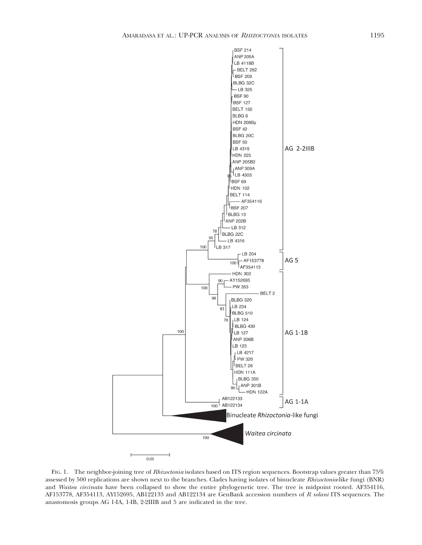

FIG. 1. The neighbor-joining tree of *Rhizoctonia* isolates based on ITS region sequences. Bootstrap values greater than 75% assessed by 500 replications are shown next to the branches. Clades having isolates of binucleate Rhizoctonia-like fungi (BNR) and Waitea circinata have been collapsed to show the entire phylogenetic tree. The tree is midpoint rooted. AF354116, AF153778, AF354113, AY152695, AB122133 and AB122134 are GenBank accession numbers of R solani ITS sequences. The anastomosis groups AG 1-IA, 1-IB, 2-2IIIB and 5 are indicated in the tree.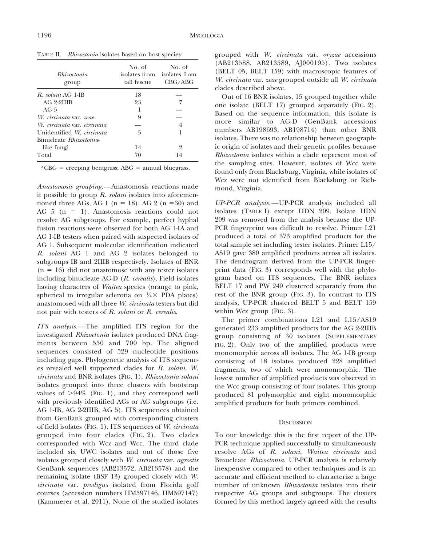TABLE II. Rhizoctonia isolates based on host species<sup>a</sup>

| <i>Rhizoctonia</i><br>group | No. of<br>tall fescue | No. of<br>isolates from isolates from<br>CBG/ABG |
|-----------------------------|-----------------------|--------------------------------------------------|
| R. solani AG 1-IB           | 18                    |                                                  |
| AG 2-2IIIB                  | 23                    |                                                  |
| AG $5$                      |                       |                                                  |
| W. circinata var. zeae      | 9                     |                                                  |
| W. circinata var. circinata |                       | 4                                                |
| Unidentified W. circinata   | 5                     |                                                  |
| Binucleate Rhizoctonia-     |                       |                                                  |
| like fungi                  | 14                    | 2                                                |
| Total                       | 70                    | 14                                               |

 ${}^{\rm a}$ CBG = creeping bentgrass; ABG = annual bluegrass.

Anastomosis grouping.—Anastomosis reactions made it possible to group  $R$ . *solani* isolates into aforementioned three AGs, AG 1 ( $n = 18$ ), AG 2 ( $n = 30$ ) and AG  $5$  (n = 1). Anastomosis reactions could not resolve AG subgroups. For example, perfect hyphal fusion reactions were observed for both AG 1-IA and AG 1-IB testers when paired with suspected isolates of AG 1. Subsequent molecular identification indicated R. solani AG 1 and AG 2 isolates belonged to subgroups IB and 2IIIB respectively. Isolates of BNR  $(n = 16)$  did not anastomose with any tester isolates including binucleate AG-D (R. cerealis). Field isolates having characters of Waitea species (orange to pink, spherical to irregular sclerotia on  $\frac{1}{4} \times$  PDA plates) anastomosed with all three W. circinata testers but did not pair with testers of R. solani or R. cerealis.

ITS analysis.—The amplified ITS region for the investigated Rhizoctonia isolates produced DNA fragments between 550 and 700 bp. The aligned sequences consisted of 529 nucleotide positions including gaps. Phylogenetic analysis of ITS sequences revealed well supported clades for R. solani, W. circinata and BNR isolates (FIG. 1). Rhizoctonia solani isolates grouped into three clusters with bootstrap values of  $>94\%$  (FIG. 1), and they correspond well with previously identified AGs or AG subgroups (i.e. AG 1-IB, AG 2-2IIIB, AG 5). ITS sequences obtained from GenBank grouped with corresponding clusters of field isolates (FIG. 1). ITS sequences of W. circinata grouped into four clades (FIG. 2). Two clades corresponded with Wcz and Wcc. The third clade included six UWC isolates and out of those five isolates grouped closely with W. circinata var. agrostis GenBank sequences (AB213572, AB213578) and the remaining isolate (BSF 13) grouped closely with W. circinata var. prodigus isolated from Florida golf courses (accession numbers HM597146, HM597147) (Kammerer et al. 2011). None of the studied isolates

grouped with W. *circinata* var. oryzae accessions (AB213588, AB213589, AJ000195). Two isolates (BELT 05, BELT 159) with macroscopic features of W. circinata var. zeae grouped outside all W. circinata clades described above.

Out of 16 BNR isolates, 15 grouped together while one isolate (BELT 17) grouped separately (FIG. 2). Based on the sequence information, this isolate is more similar to AG-D (GenBank accessions numbers AB198693, AB198714) than other BNR isolates. There was no relationship between geographic origin of isolates and their genetic profiles because Rhizoctonia isolates within a clade represent most of the sampling sites. However, isolates of Wcc were found only from Blacksburg, Virginia, while isolates of Wcz were not identified from Blacksburg or Richmond, Virginia.

UP-PCR analysis.—UP-PCR analysis included all isolates (TABLE I) except HDN 209. Isolate HDN 209 was removed from the analysis because the UP-PCR fingerprint was difficult to resolve. Primer L21 produced a total of 373 amplified products for the total sample set including tester isolates. Primer L15/ AS19 gave 380 amplified products across all isolates. The dendrogram derived from the UP-PCR fingerprint data (FIG. 3) corresponds well with the phylogram based on ITS sequences. The BNR isolates BELT 17 and PW 249 clustered separately from the rest of the BNR group (FIG. 3). In contrast to ITS analysis, UP-PCR clustered BELT 5 and BELT 159 within Wcz group (FIG. 3).

The primer combinations L21 and L15/AS19 generated 233 amplified products for the AG 2-2IIIB group consisting of 30 isolates (SUPPLEMENTARY FIG. 2). Only two of the amplified products were monomorphic across all isolates. The AG 1-IB group consisting of 18 isolates produced 228 amplified fragments, two of which were monomorphic. The lowest number of amplified products was observed in the Wcc group consisting of four isolates. This group produced 81 polymorphic and eight monomorphic amplified products for both primers combined.

## **DISCUSSION**

To our knowledge this is the first report of the UP-PCR technique applied successfully to simultaneously resolve AGs of R. solani, Waitea circinata and Binucleate Rhizoctonia. UP-PCR analysis is relatively inexpensive compared to other techniques and is an accurate and efficient method to characterize a large number of unknown Rhizoctonia isolates into their respective AG groups and subgroups. The clusters formed by this method largely agreed with the results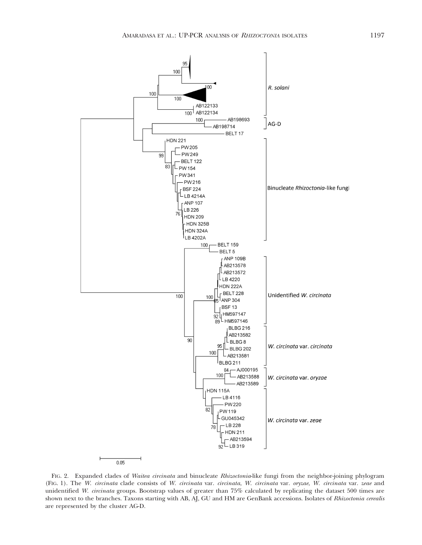

FIG. 2. Expanded clades of Waitea circinata and binucleate Rhizoctonia-like fungi from the neighbor-joining phylogram (FIG. 1). The W. circinata clade consists of W. circinata var. circinata, W. circinata var. oryzae, W. circinata var. zeae and unidentified W. circinata groups. Bootstrap values of greater than 75% calculated by replicating the dataset 500 times are shown next to the branches. Taxons starting with AB, AJ, GU and HM are GenBank accessions. Isolates of Rhizoctonia cerealis are represented by the cluster AG-D.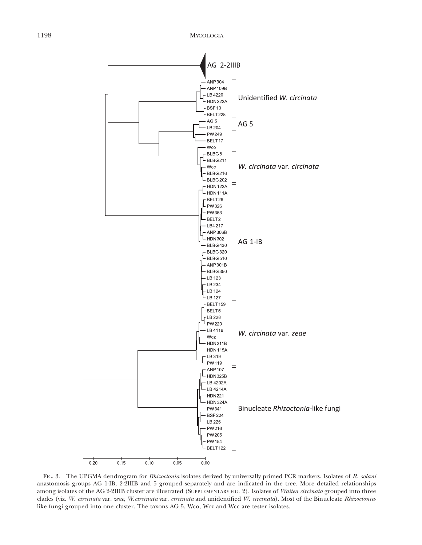

FIG. 3. The UPGMA dendrogram for Rhizoctonia isolates derived by universally primed PCR markers. Isolates of R. solani anastomosis groups AG 1-IB, 2-2IIIB and 5 grouped separately and are indicated in the tree. More detailed relationships among isolates of the AG 2-2IIIB cluster are illustrated (SUPPLEMENTARY FIG. 2). Isolates of Waitea circinata grouped into three clades (viz. W. circinata var. zeae, W.circinata var. circinata and unidentified W. circinata). Most of the Binucleate Rhizoctonialike fungi grouped into one cluster. The taxons AG 5, Wco, Wcz and Wcc are tester isolates.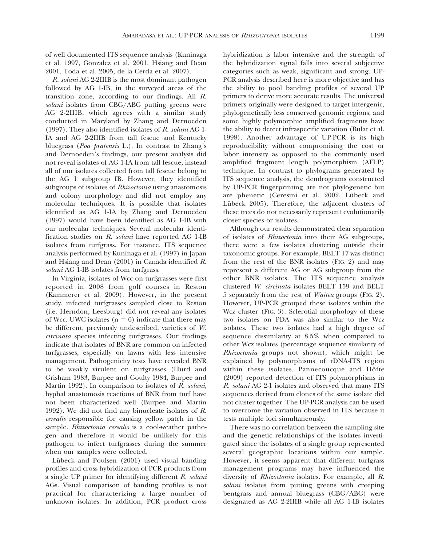of well documented ITS sequence analysis (Kuninaga et al. 1997, Gonzalez et al. 2001, Hsiang and Dean 2001, Toda et al. 2005, de la Cerda et al. 2007).

R. solani AG 2-2IIIB is the most dominant pathogen followed by AG 1-IB, in the surveyed areas of the transition zone, according to our findings. All R. solani isolates from CBG/ABG putting greens were AG 2-2IIIB, which agrees with a similar study conducted in Maryland by Zhang and Dernoeden (1997). They also identified isolates of R. solani AG 1- IA and AG 2-2IIIB from tall fescue and Kentucky bluegrass (Poa pratensis L.). In contrast to Zhang's and Dernoeden's findings, our present analysis did not reveal isolates of AG 1-IA from tall fescue; instead all of our isolates collected from tall fescue belong to the AG 1 subgroup IB. However, they identified subgroups of isolates of *Rhizoctonia* using anastomosis and colony morphology and did not employ any molecular techniques. It is possible that isolates identified as AG 1-IA by Zhang and Dernoeden (1997) would have been identified as AG 1-IB with our molecular techniques. Several molecular identification studies on R. solani have reported AG 1-IB isolates from turfgrass. For instance, ITS sequence analysis performed by Kuninaga et al. (1997) in Japan and Hsiang and Dean (2001) in Canada identified R. solani AG 1-IB isolates from turfgrass.

In Virginia, isolates of Wcc on turfgrasses were first reported in 2008 from golf courses in Reston (Kammerer et al. 2009). However, in the present study, infected turfgrasses sampled close to Reston (i.e. Herndon, Leesburg) did not reveal any isolates of Wcc. UWC isolates ( $n = 6$ ) indicate that there may be different, previously undescribed, varieties of W. circinata species infecting turfgrasses. Our findings indicate that isolates of BNR are common on infected turfgrasses, especially on lawns with less intensive management. Pathogenicity tests have revealed BNR to be weakly virulent on turfgrasses (Hurd and Grisham 1983, Burpee and Goulty 1984, Burpee and Martin 1992). In comparison to isolates of R. solani, hyphal anastomosis reactions of BNR from turf have not been characterized well (Burpee and Martin 1992). We did not find any binucleate isolates of R. cerealis responsible for causing yellow patch in the sample. Rhizoctonia cerealis is a cool-weather pathogen and therefore it would be unlikely for this pathogen to infect turfgrasses during the summer when our samples were collected.

Lübeck and Poulsen (2001) used visual banding profiles and cross hybridization of PCR products from a single UP primer for identifying different R. solani AGs. Visual comparison of banding profiles is not practical for characterizing a large number of unknown isolates. In addition, PCR product cross

hybridization is labor intensive and the strength of the hybridization signal falls into several subjective categories such as weak, significant and strong. UP-PCR analysis described here is more objective and has the ability to pool banding profiles of several UP primers to derive more accurate results. The universal primers originally were designed to target intergenic, phylogenetically less conserved genomic regions, and some highly polymorphic amplified fragments have the ability to detect infraspecific variation (Bulat et al. 1998). Another advantage of UP-PCR is its high reproducibility without compromising the cost or labor intensity as opposed to the commonly used amplified fragment length polymorphism (AFLP) technique. In contrast to phylograms generated by ITS sequence analysis, the dendrograms constructed by UP-PCR fingerprinting are not phylogenetic but are phenetic (Ceresini et al. 2002, Lübeck and Lübeck 2005). Therefore, the adjacent clusters of these trees do not necessarily represent evolutionarily closer species or isolates.

Although our results demonstrated clear separation of isolates of Rhizoctonia into their AG subgroups, there were a few isolates clustering outside their taxonomic groups. For example, BELT 17 was distinct from the rest of the BNR isolates (FIG. 2) and may represent a different AG or AG subgroup from the other BNR isolates. The ITS sequence analysis clustered W. circinata isolates BELT 159 and BELT 5 separately from the rest of Waitea groups (FIG. 2). However, UP-PCR grouped these isolates within the Wcz cluster (FIG. 3). Sclerotial morphology of these two isolates on PDA was also similar to the Wcz isolates. These two isolates had a high degree of sequence dissimilarity at 8.5% when compared to other Wcz isolates (percentage sequence similarity of Rhizoctonia groups not shown), which might be explained by polymorphisms of rDNA-ITS region within these isolates. Pannecoucque and Höfte (2009) reported detection of ITS polymorphisms in R. solani AG 2-1 isolates and observed that many ITS sequences derived from clones of the same isolate did not cluster together. The UP-PCR analysis can be used to overcome the variation observed in ITS because it tests multiple loci simultaneously.

There was no correlation between the sampling site and the genetic relationships of the isolates investigated since the isolates of a single group represented several geographic locations within our sample. However, it seems apparent that different turfgrass management programs may have influenced the diversity of Rhizoctonia isolates. For example, all R. solani isolates from putting greens with creeping bentgrass and annual bluegrass (CBG/ABG) were designated as AG 2-2IIIB while all AG 1-IB isolates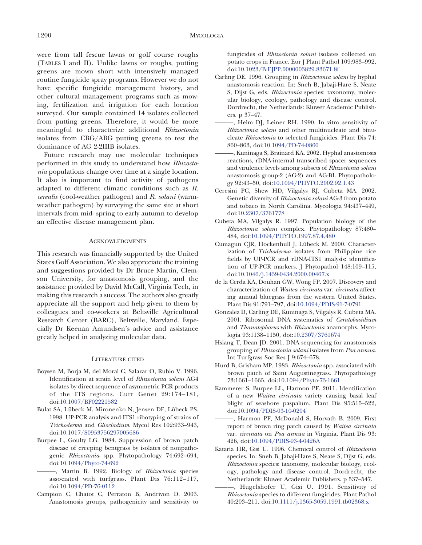were from tall fescue lawns or golf course roughs (TABLES I and II). Unlike lawns or roughs, putting greens are mown short with intensively managed routine fungicide spray programs. However we do not have specific fungicide management history, and other cultural management programs such as mowing, fertilization and irrigation for each location surveyed. Our sample contained 14 isolates collected from putting greens. Therefore, it would be more meaningful to characterize additional Rhizoctonia isolates from CBG/ABG putting greens to test the dominance of AG 2-2IIIB isolates.

Future research may use molecular techniques performed in this study to understand how Rhizoctonia populations change over time at a single location. It also is important to find activity of pathogens adapted to different climatic conditions such as R. cerealis (cool-weather pathogen) and R. solani (warmweather pathogen) by surveying the same site at short intervals from mid- spring to early autumn to develop an effective disease management plan.

#### ACKNOWLEDGMENTS

This research was financially supported by the United States Golf Association. We also appreciate the training and suggestions provided by Dr Bruce Martin, Clemson University, for anastomosis grouping, and the assistance provided by David McCall, Virginia Tech, in making this research a success. The authors also greatly appreciate all the support and help given to them by colleagues and co-workers at Beltsville Agricultural Research Center (BARC), Beltsville, Maryland. Especially Dr Keenan Amundsen's advice and assistance greatly helped in analyzing molecular data.

#### LITERATURE CITED

- Boysen M, Borja M, del Moral C, Salazar O, Rubio V. 1996. Identification at strain level of Rhizoctonia solani AG4 isolates by direct sequence of asymmetric PCR products of the ITS regions. Curr Genet 29:174–181[,](http://dx.doi.org/10.1007%2FBF02221582) [doi:10.1007/BF02221582](http://dx.doi.org/10.1007%2FBF02221582)
- Bulat SA, Lübeck M, Mironenko N, Jensen DF, Lübeck PS. 1998. UP-PCR analysis and ITS1 ribotyping of strains of Trichoderma and Gliocladium. Mycol Res 102:933–943[,](http://dx.doi.org/10.1017%2FS0953756297005686) [doi:10.1017/S0953756297005686](http://dx.doi.org/10.1017%2FS0953756297005686)
- Burpee L, Goulty LG. 1984. Suppression of brown patch disease of creeping bentgrass by isolates of nonpathogenic Rhizoctonia spp. Phytopathology 74:692–694[,](http://dx.doi.org/10.1094%2FPhyto-74-692) [doi:10.1094/Phyto-74-692](http://dx.doi.org/10.1094%2FPhyto-74-692)
	- -, Martin B. 1992. Biology of Rhizoctonia species associated with turfgrass. Plant Dis 76:112–117[,](http://dx.doi.org/10.1094%2FPD-76-0112) [doi:10.1094/PD-76-0112](http://dx.doi.org/10.1094%2FPD-76-0112)
- Campion C, Chatot C, Perraton B, Andrivon D. 2003. Anastomosis groups, pathogenicity and sensitivity to

fungicides of Rhizoctonia solani isolates collected on potato crops in France. Eur J Plant Pathol 109:983–992[,](http://dx.doi.org/10.1023%2FB%3AEJPP.0000003829.83671.8f) [doi:10.1023/B:EJPP.0000003829.83671.8f](http://dx.doi.org/10.1023%2FB%3AEJPP.0000003829.83671.8f)

- Carling DE. 1996. Grouping in Rhizoctonia solani by hyphal anastomosis reaction. In: Sneh B, Jabaji-Hare S, Neate S, Dijst G, eds. Rhizoctonia species: taxonomy, molecular biology, ecology, pathology and disease control. Dordrecht, the Netherlands: Kluwer Academic Publishers. p 37–47.
- ———, Helm DJ, Leiner RH. 1990. In vitro sensitivity of Rhizoctonia solani and other multinucleate and binucleate Rhizoctonia to selected fungicides. Plant Dis 74: 860–86[3, doi:10.1094/PD-74-0860](http://dx.doi.org/10.1094%2FPD-74-0860)
- ———, Kuninaga S, Brainard KA. 2002. Hyphal anastomosis reactions, rDNA-internal transcribed spacer sequences and virulence levels among subsets of Rhizoctonia solani anastomosis group-2 (AG-2) and AG-BI. Phytopathology 92:43–50[, doi:10.1094/PHYTO.2002.92.1.43](http://dx.doi.org/10.1094%2FPHYTO.2002.92.1.43)
- Ceresini PC, Shew HD, Vilgalys RJ, Cubeta MA. 2002. Genetic diversity of Rhizoctonia solani AG-3 from potato and tobaco in North Carolina. Mycologia 94:437–449[,](http://dx.doi.org/10.2307%2F3761778) [doi:10.2307/3761778](http://dx.doi.org/10.2307%2F3761778)
- Cubeta MA, Vilgalys R. 1997. Population biology of the Rhizoctonia solani complex. Phytopathology 87:480– 484[, doi:10.1094/PHYTO.1997.87.4.480](http://dx.doi.org/10.1094%2FPHYTO.1997.87.4.480)
- Cumagun CJR, Hockenhull J, Lübeck M. 2000. Characterization of *Trichoderma* isolates from Philippine rice fields by UP-PCR and rDNA-ITS1 analysis: identification of UP-PCR markers. J Phytopathol 148:109–115[,](http://dx.doi.org/10.1046%2Fj.1439-0434.2000.00467.x) [doi:10.1046/j.1439-0434.2000.00467.x](http://dx.doi.org/10.1046%2Fj.1439-0434.2000.00467.x)
- de la Cerda KA, Douhan GW, Wong FP. 2007. Discovery and characterization of Waitea circinata var. circinata affecting annual bluegrass from the western United States. Plant Dis 91:791–79[7, doi:10.1094/PDIS-91-7-0791](http://dx.doi.org/10.1094%2FPDIS-91-7-0791)
- Gonzalez D, Carling DE, Kuninaga S, Vilgalys R, Cubeta MA. 2001. Ribosomal DNA systematics of Ceratobasidium and Thanatephorus with Rhizoctonia anamorphs. Mycologia 93:1138–115[0, doi:10.2307/3761674](http://dx.doi.org/10.2307%2F3761674)
- Hsiang T, Dean JD. 2001. DNA sequencing for anastomosis grouping of Rhizoctonia solani isolates from Poa annua. Int Turfgrass Soc Res J 9:674–678.
- Hurd B, Grisham MP. 1983. Rhizoctonia spp. associated with brown patch of Saint Augustinegrass. Phytopathology 73:1661–166[5, doi:10.1094/Phyto-73-1661](http://dx.doi.org/10.1094%2FPhyto-73-1661)
- Kammerer S, Burpee LL, Harmon PF. 2011. Identification of a new Waitea circinata variety causing basal leaf blight of seashore paspalum. Plant Dis 95:515–522[,](http://dx.doi.org/10.1094%2FPDIS-03-10-0204) [doi:10.1094/PDIS-03-10-0204](http://dx.doi.org/10.1094%2FPDIS-03-10-0204)
- ———, Harmon PF, McDonald S, Horvath B. 2009. First report of brown ring patch caused by Waitea circinata var. circinata on Poa annua in Virginia. Plant Dis 93: 426[, doi:10.1094/PDIS-93-4-0426A](http://dx.doi.org/10.1094%2FPDIS-93-4-0426A)
- Kataria HR, Gisi U. 1996. Chemical control of Rhizoctonia species. In: Sneh B, Jabaji-Hare S, Neate S, Dijst G, eds. Rhizoctonia species: taxonomy, molecular biology, ecology, pathology and disease control. Dordrecht, the Netherlands: Kluwer Academic Publishers. p 537–547.
	- ———, Hugelshofer U, Gisi U. 1991. Sensitivity of Rhizoctonia species to different fungicides. Plant Pathol 40:203–211[, doi:10.1111/j.1365-3059.1991.tb02368.x](http://dx.doi.org/10.1111%2Fj.1365-3059.1991.tb02368.x)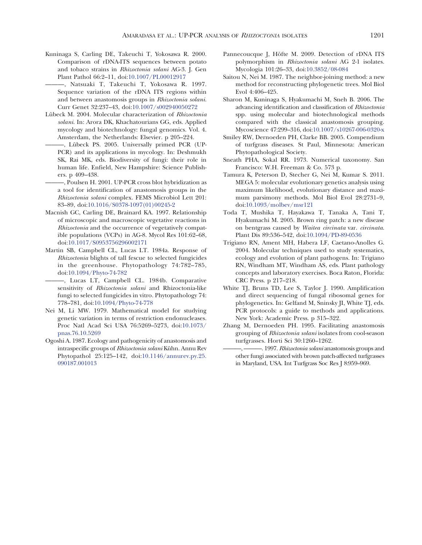Kuninaga S, Carling DE, Takeuchi T, Yokosawa R. 2000. Comparison of rDNA-ITS sequences between potato and tobaco strains in Rhizoctonia solani AG-3. J. Gen Plant Pathol 66:2–11[, doi:10.1007/PL00012917](http://dx.doi.org/10.1007%2FPL00012917)

———, Natsuaki T, Takeuchi T, Yokosawa R. 1997. Sequence variation of the rDNA ITS regions within and between anastomosis groups in Rhizoctonia solani. Curr Genet 32:237–4[3, doi:10.1007/s002940050272](http://dx.doi.org/10.1007%2Fs002940050272)

- Lübeck M. 2004. Molecular characterization of Rhizoctonia solani. In: Arora DK, Khachatourians GG, eds. Applied mycology and biotechnology: fungal genomics. Vol. 4. Amsterdam, the Netherlands: Elsevier. p 205–224.
	- ———, Lu¨beck PS. 2005. Universally primed PCR (UP-PCR) and its applications in mycology. In: Deshmukh SK, Rai MK, eds. Biodiversity of fungi: their role in human life. Enfield, New Hampshire: Science Publishers. p 409–438.
- ———, Poulsen H. 2001. UP-PCR cross blot hybridization as a tool for identification of anastomosis groups in the Rhizoctonia solani complex. FEMS Microbiol Lett 201: 83–89[, doi:10.1016/S0378-1097\(01\)00245-2](http://dx.doi.org/10.1016%2FS0378-1097%2801%2900245-2)
- Macnish GC, Carling DE, Brainard KA. 1997. Relationship of microscopic and macroscopic vegetative reactions in Rhizoctonia and the occurrence of vegetatively compatible populations (VCPs) in AG-8. Mycol Res 101:62–68[,](http://dx.doi.org/10.1017%2FS0953756296002171) [doi:10.1017/S0953756296002171](http://dx.doi.org/10.1017%2FS0953756296002171)
- Martin SB, Campbell CL, Lucas LT. 1984a. Response of Rhizoctonia blights of tall fescue to selected fungicides in the greenhouse. Phytopathology 74:782–785[,](http://dx.doi.org/10.1094%2FPhyto-74-782) [doi:10.1094/Phyto-74-782](http://dx.doi.org/10.1094%2FPhyto-74-782)
	- ———, Lucas LT, Campbell CL. 1984b. Comparative sensitivity of Rhizoctonia solani and Rhizoctonia-like fungi to selected fungicides in vitro. Phytopathology 74: 778–78[1, doi:10.1094/Phyto-74-778](http://dx.doi.org/10.1094%2FPhyto-74-778)
- Nei M, Li MW. 1979. Mathematical model for studying genetic variation in terms of restriction endonucleases. Proc Natl Acad Sci USA 76:5269–527[3, doi:10.1073/](http://dx.doi.org/10.1073%2Fpnas.76.10.5269) [pnas.76.10.5269](http://dx.doi.org/10.1073%2Fpnas.76.10.5269)
- Ogoshi A. 1987. Ecology and pathogenicity of anastomosis and intraspecific groups of Rhizoctonia solani Kühn. Annu Rev Phytopathol 25:125–14[2, doi:10.1146/annurev.py.25.](http://dx.doi.org/10.1146%2Fannurev.py.25.090187.001013) [090187.001013](http://dx.doi.org/10.1146%2Fannurev.py.25.090187.001013)
- Pannecoucque J, Höfte M. 2009. Detection of rDNA ITS polymorphism in Rhizoctonia solani AG 2-1 isolates. Mycologia 101:26–33[, doi:10.3852/08-084](http://dx.doi.org/10.3852%2F08-084)
- Saitou N, Nei M. 1987. The neighbor-joining method: a new method for reconstructing phylogenetic trees. Mol Biol Evol 4:406–425.
- Sharon M, Kuninaga S, Hyakumachi M, Sneh B. 2006. The advancing identification and classification of Rhizoctonia spp. using molecular and biotechnological methods compared with the classical anastomosis grouping. Mycoscience 47:299–31[6, doi:10.1007/s10267-006-0320-x](http://dx.doi.org/10.1007%2Fs10267-006-0320-x)
- Smiley RW, Dernoeden PH, Clarke BB. 2005. Compendium of turfgrass diseases. St Paul, Minnesota: American Phytopathological Society.
- Sneath PHA, Sokal RR. 1973. Numerical taxonomy. San Francisco: W.H. Freeman & Co. 573 p.
- Tamura K, Peterson D, Stecher G, Nei M, Kumar S. 2011. MEGA 5: molecular evolutionary genetics analysis using maximum likelihood, evolutionary distance and maximum parsimony methods. Mol Biol Evol 28:2731–9[,](http://dx.doi.org/10.1093%2Fmolbev%2Fmsr121) [doi:10.1093/molbev/msr121](http://dx.doi.org/10.1093%2Fmolbev%2Fmsr121)
- Toda T, Mushika T, Hayakawa T, Tanaka A, Tani T, Hyakumachi M. 2005. Brown ring patch: a new disease on bentgrass caused by Waitea circinata var. circinata. Plant Dis 89:536–542[, doi:10.1094/PD-89-0536](http://dx.doi.org/10.1094%2FPD-89-0536)
- Trigiano RN, Ament MH, Habera LF, Caetano-Anolles G. 2004. Molecular techniques used to study systematics, ecology and evolution of plant pathogens. In: Trigiano RN, Windham MT, Windham AS, eds. Plant pathology concepts and laboratory exercises. Boca Raton, Florida: CRC Press. p 217–218.
- White TJ, Bruns TD, Lee S, Taylor J. 1990. Amplification and direct sequencing of fungal ribosomal genes for phylogenetics. In: Gelfand M, Sninsky JI, White TJ, eds. PCR protocols: a guide to methods and applications. New York: Academic Press. p 315–322.
- Zhang M, Dernoeden PH. 1995. Facilitating anastomosis grouping of Rhizoctonia solani isolates from cool-season turfgrasses. Horti Sci 30:1260–1262.
	- -. 1997. Rhizoctonia solani anastomosis groups and other fungi associated with brown patch-affected turfgrasses in Maryland, USA. Int Turfgrass Soc Res J 8:959–969.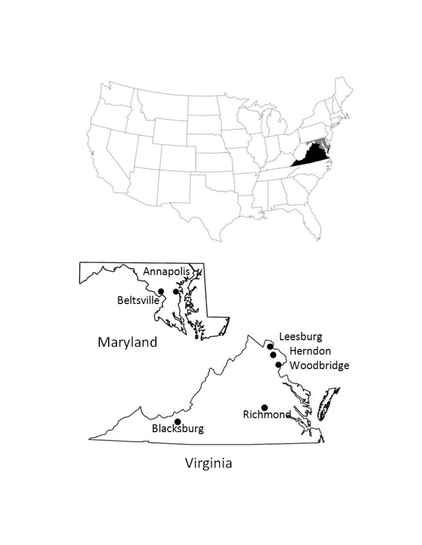

Virginia